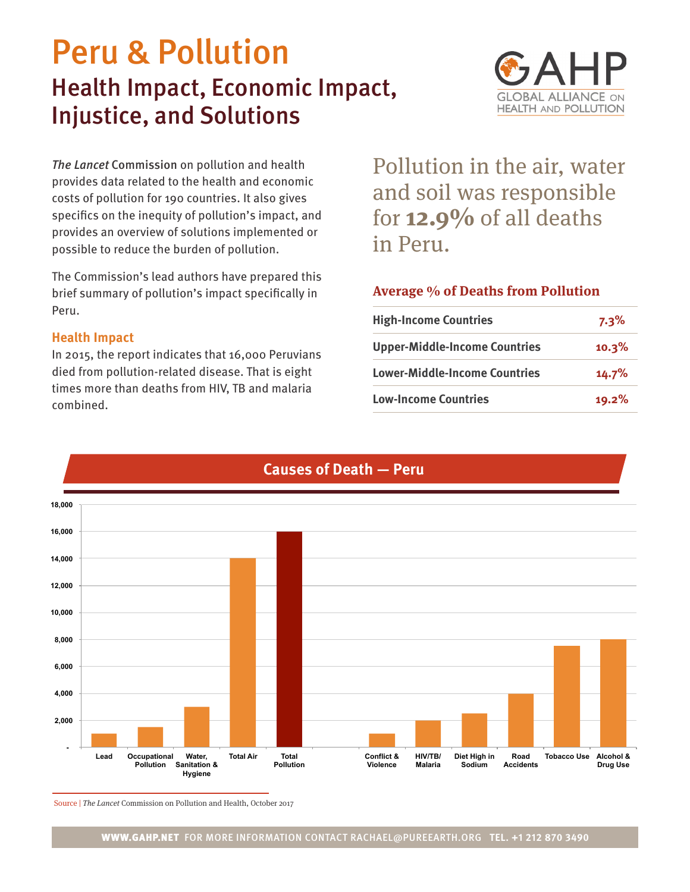# Peru & Pollution Health Impact, Economic Impact, Injustice, and Solutions



*The Lancet* Commission on pollution and health provides data related to the health and economic costs of pollution for 190 countries. It also gives specifics on the inequity of pollution's impact, and provides an overview of solutions implemented or possible to reduce the burden of pollution.

The Commission's lead authors have prepared this brief summary of pollution's impact specifically in Peru.

## **Health Impact**

In 2015, the report indicates that 16,000 Peruvians died from pollution-related disease. That is eight times more than deaths from HIV, TB and malaria combined.

Pollution in the air, water and soil was responsible for **12.9%** of all deaths in Peru.

# **Average % of Deaths from Pollution**

| <b>High-Income Countries</b>         | $7.3\%$ |
|--------------------------------------|---------|
| <b>Upper-Middle-Income Countries</b> | 10.3%   |
| <b>Lower-Middle-Income Countries</b> | 14.7%   |
| <b>Low-Income Countries</b>          | 19.2%   |



# **Causes of Death — Peru**

Source | The Lancet Commission on Pollution and Health, October 2017